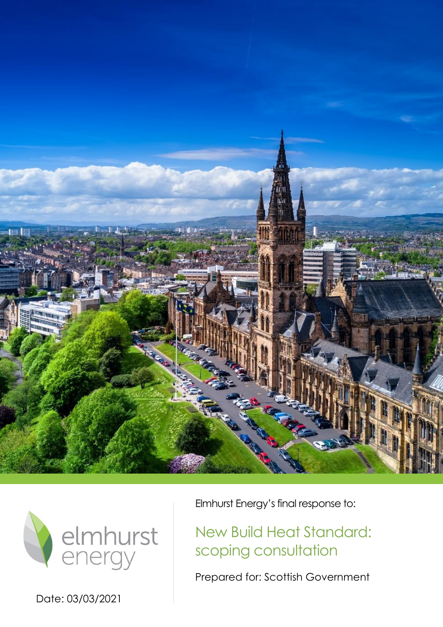



Date: 03/03/2021

Elmhurst Energy's final response to:

New Build Heat Standard: scoping consultation

Prepared for: Scottish Government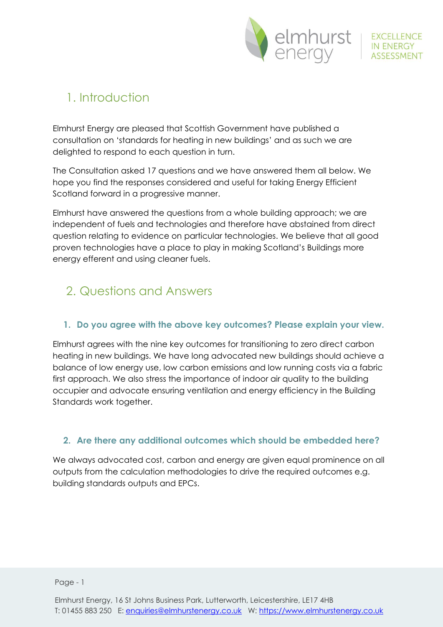

# 1. Introduction

Elmhurst Energy are pleased that Scottish Government have published a consultation on 'standards for heating in new buildings' and as such we are delighted to respond to each question in turn.

The Consultation asked 17 questions and we have answered them all below. We hope you find the responses considered and useful for taking Energy Efficient Scotland forward in a progressive manner.

Elmhurst have answered the questions from a whole building approach; we are independent of fuels and technologies and therefore have abstained from direct question relating to evidence on particular technologies. We believe that all good proven technologies have a place to play in making Scotland's Buildings more energy efferent and using cleaner fuels.

# 2. Questions and Answers

# **1. Do you agree with the above key outcomes? Please explain your view.**

Elmhurst agrees with the nine key outcomes for transitioning to zero direct carbon heating in new buildings. We have long advocated new buildings should achieve a balance of low energy use, low carbon emissions and low running costs via a fabric first approach. We also stress the importance of indoor air quality to the building occupier and advocate ensuring ventilation and energy efficiency in the Building Standards work together.

# **2. Are there any additional outcomes which should be embedded here?**

We always advocated cost, carbon and energy are given equal prominence on all outputs from the calculation methodologies to drive the required outcomes e.g. building standards outputs and EPCs.

Page - 1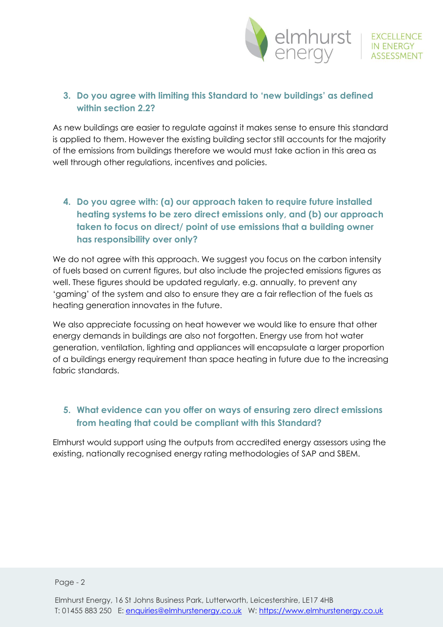

#### **3. Do you agree with limiting this Standard to 'new buildings' as defined within section 2.2?**

As new buildings are easier to regulate against it makes sense to ensure this standard is applied to them. However the existing building sector still accounts for the majority of the emissions from buildings therefore we would must take action in this area as well through other regulations, incentives and policies.

# **4. Do you agree with: (a) our approach taken to require future installed heating systems to be zero direct emissions only, and (b) our approach taken to focus on direct/ point of use emissions that a building owner has responsibility over only?**

We do not agree with this approach. We suggest you focus on the carbon intensity of fuels based on current figures, but also include the projected emissions figures as well. These figures should be updated regularly, e.g. annually, to prevent any 'gaming' of the system and also to ensure they are a fair reflection of the fuels as heating generation innovates in the future.

We also appreciate focussing on heat however we would like to ensure that other energy demands in buildings are also not forgotten. Energy use from hot water generation, ventilation, lighting and appliances will encapsulate a larger proportion of a buildings energy requirement than space heating in future due to the increasing fabric standards.

#### **5. What evidence can you offer on ways of ensuring zero direct emissions from heating that could be compliant with this Standard?**

Elmhurst would support using the outputs from accredited energy assessors using the existing, nationally recognised energy rating methodologies of SAP and SBEM.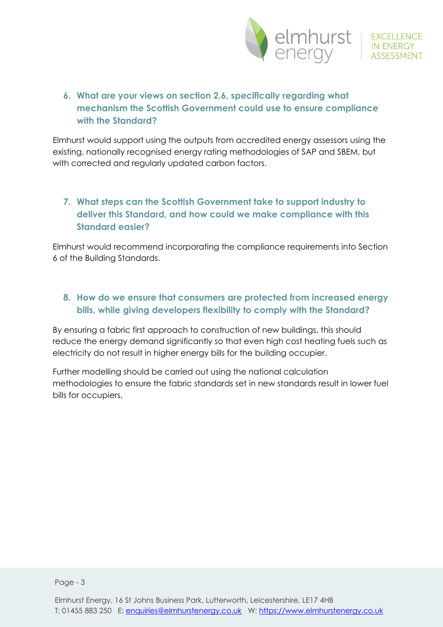

# **6. What are your views on section 2.6, specifically regarding what mechanism the Scottish Government could use to ensure compliance with the Standard?**

Elmhurst would support using the outputs from accredited energy assessors using the existing, nationally recognised energy rating methodologies of SAP and SBEM, but with corrected and regularly updated carbon factors.

# **7. What steps can the Scottish Government take to support industry to deliver this Standard, and how could we make compliance with this Standard easier?**

Elmhurst would recommend incorporating the compliance requirements into Section 6 of the Building Standards.

#### **8. How do we ensure that consumers are protected from increased energy bills, while giving developers flexibility to comply with the Standard?**

By ensuring a fabric first approach to construction of new buildings, this should reduce the energy demand significantly so that even high cost heating fuels such as electricity do not result in higher energy bills for the building occupier.

Further modelling should be carried out using the national calculation methodologies to ensure the fabric standards set in new standards result in lower fuel bills for occupiers.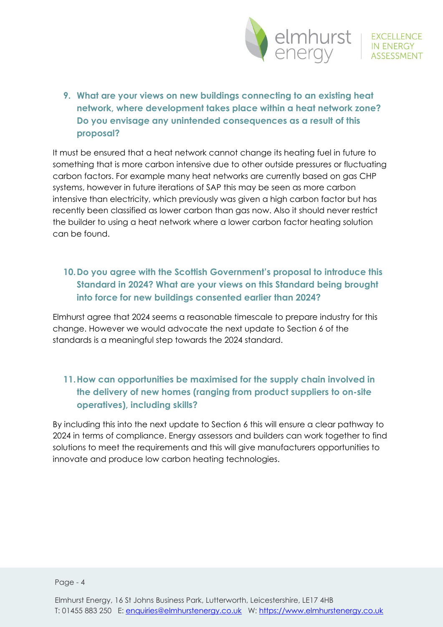

**9. What are your views on new buildings connecting to an existing heat network, where development takes place within a heat network zone? Do you envisage any unintended consequences as a result of this proposal?** 

It must be ensured that a heat network cannot change its heating fuel in future to something that is more carbon intensive due to other outside pressures or fluctuating carbon factors. For example many heat networks are currently based on gas CHP systems, however in future iterations of SAP this may be seen as more carbon intensive than electricity, which previously was given a high carbon factor but has recently been classified as lower carbon than gas now. Also it should never restrict the builder to using a heat network where a lower carbon factor heating solution can be found.

#### **10.Do you agree with the Scottish Government's proposal to introduce this Standard in 2024? What are your views on this Standard being brought into force for new buildings consented earlier than 2024?**

Elmhurst agree that 2024 seems a reasonable timescale to prepare industry for this change. However we would advocate the next update to Section 6 of the standards is a meaningful step towards the 2024 standard.

# **11.How can opportunities be maximised for the supply chain involved in the delivery of new homes (ranging from product suppliers to on-site operatives), including skills?**

By including this into the next update to Section 6 this will ensure a clear pathway to 2024 in terms of compliance. Energy assessors and builders can work together to find solutions to meet the requirements and this will give manufacturers opportunities to innovate and produce low carbon heating technologies.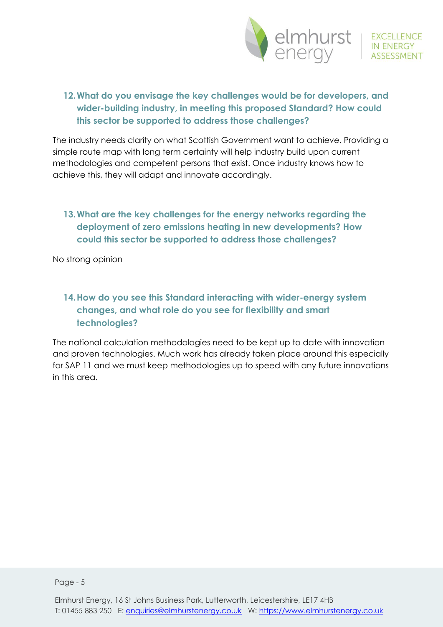

# **12.What do you envisage the key challenges would be for developers, and wider-building industry, in meeting this proposed Standard? How could this sector be supported to address those challenges?**

The industry needs clarity on what Scottish Government want to achieve. Providing a simple route map with long term certainty will help industry build upon current methodologies and competent persons that exist. Once industry knows how to achieve this, they will adapt and innovate accordingly.

# **13.What are the key challenges for the energy networks regarding the deployment of zero emissions heating in new developments? How could this sector be supported to address those challenges?**

No strong opinion

# **14.How do you see this Standard interacting with wider-energy system changes, and what role do you see for flexibility and smart technologies?**

The national calculation methodologies need to be kept up to date with innovation and proven technologies. Much work has already taken place around this especially for SAP 11 and we must keep methodologies up to speed with any future innovations in this area.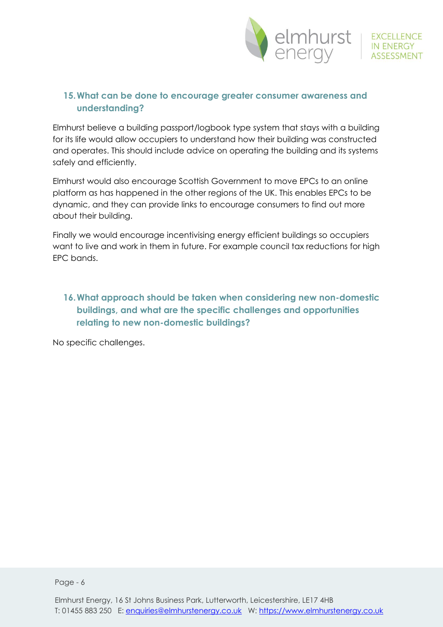

#### **15.What can be done to encourage greater consumer awareness and understanding?**

Elmhurst believe a building passport/logbook type system that stays with a building for its life would allow occupiers to understand how their building was constructed and operates. This should include advice on operating the building and its systems safely and efficiently.

Elmhurst would also encourage Scottish Government to move EPCs to an online platform as has happened in the other regions of the UK. This enables EPCs to be dynamic, and they can provide links to encourage consumers to find out more about their building.

Finally we would encourage incentivising energy efficient buildings so occupiers want to live and work in them in future. For example council tax reductions for high EPC bands.

## **16.What approach should be taken when considering new non-domestic buildings, and what are the specific challenges and opportunities relating to new non-domestic buildings?**

No specific challenges.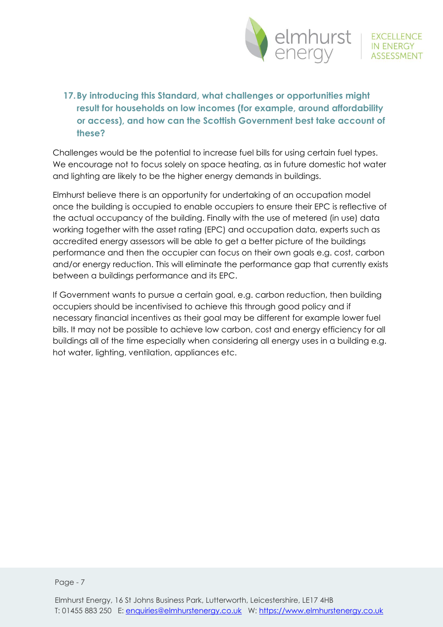

EXCELLENCE<br>IN ENERGY

# **17.By introducing this Standard, what challenges or opportunities might result for households on low incomes (for example, around affordability or access), and how can the Scottish Government best take account of these?**

Challenges would be the potential to increase fuel bills for using certain fuel types. We encourage not to focus solely on space heating, as in future domestic hot water and lighting are likely to be the higher energy demands in buildings.

Elmhurst believe there is an opportunity for undertaking of an occupation model once the building is occupied to enable occupiers to ensure their EPC is reflective of the actual occupancy of the building. Finally with the use of metered (in use) data working together with the asset rating (EPC) and occupation data, experts such as accredited energy assessors will be able to get a better picture of the buildings performance and then the occupier can focus on their own goals e.g. cost, carbon and/or energy reduction. This will eliminate the performance gap that currently exists between a buildings performance and its EPC.

If Government wants to pursue a certain goal, e.g. carbon reduction, then building occupiers should be incentivised to achieve this through good policy and if necessary financial incentives as their goal may be different for example lower fuel bills. It may not be possible to achieve low carbon, cost and energy efficiency for all buildings all of the time especially when considering all energy uses in a building e.g. hot water, lighting, ventilation, appliances etc.